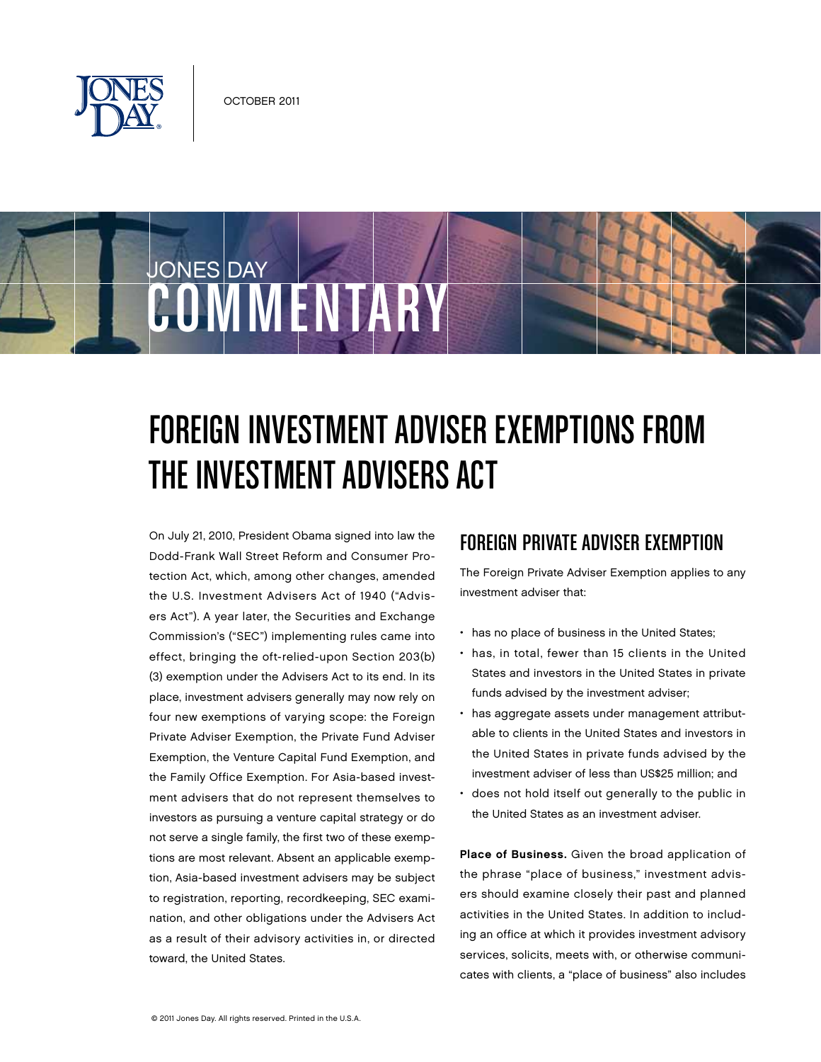

COMMENTARY

JONES DAY

# Foreign Investment Adviser Exemptions From the Investment Advisers Act

On July 21, 2010, President Obama signed into law the Dodd-Frank Wall Street Reform and Consumer Protection Act, which, among other changes, amended the U.S. Investment Advisers Act of 1940 ("Advisers Act"). A year later, the Securities and Exchange Commission's ("SEC") implementing rules came into effect, bringing the oft-relied-upon Section 203(b) (3) exemption under the Advisers Act to its end. In its place, investment advisers generally may now rely on four new exemptions of varying scope: the Foreign Private Adviser Exemption, the Private Fund Adviser Exemption, the Venture Capital Fund Exemption, and the Family Office Exemption. For Asia-based investment advisers that do not represent themselves to investors as pursuing a venture capital strategy or do not serve a single family, the first two of these exemptions are most relevant. Absent an applicable exemption, Asia-based investment advisers may be subject to registration, reporting, recordkeeping, SEC examination, and other obligations under the Advisers Act as a result of their advisory activities in, or directed toward, the United States.

## Foreign Private Adviser Exemption

The Foreign Private Adviser Exemption applies to any investment adviser that:

- has no place of business in the United States;
- has, in total, fewer than 15 clients in the United States and investors in the United States in private funds advised by the investment adviser;
- has aggregate assets under management attributable to clients in the United States and investors in the United States in private funds advised by the investment adviser of less than US\$25 million; and
- does not hold itself out generally to the public in the United States as an investment adviser.

Place of Business. Given the broad application of the phrase "place of business," investment advisers should examine closely their past and planned activities in the United States. In addition to including an office at which it provides investment advisory services, solicits, meets with, or otherwise communicates with clients, a "place of business" also includes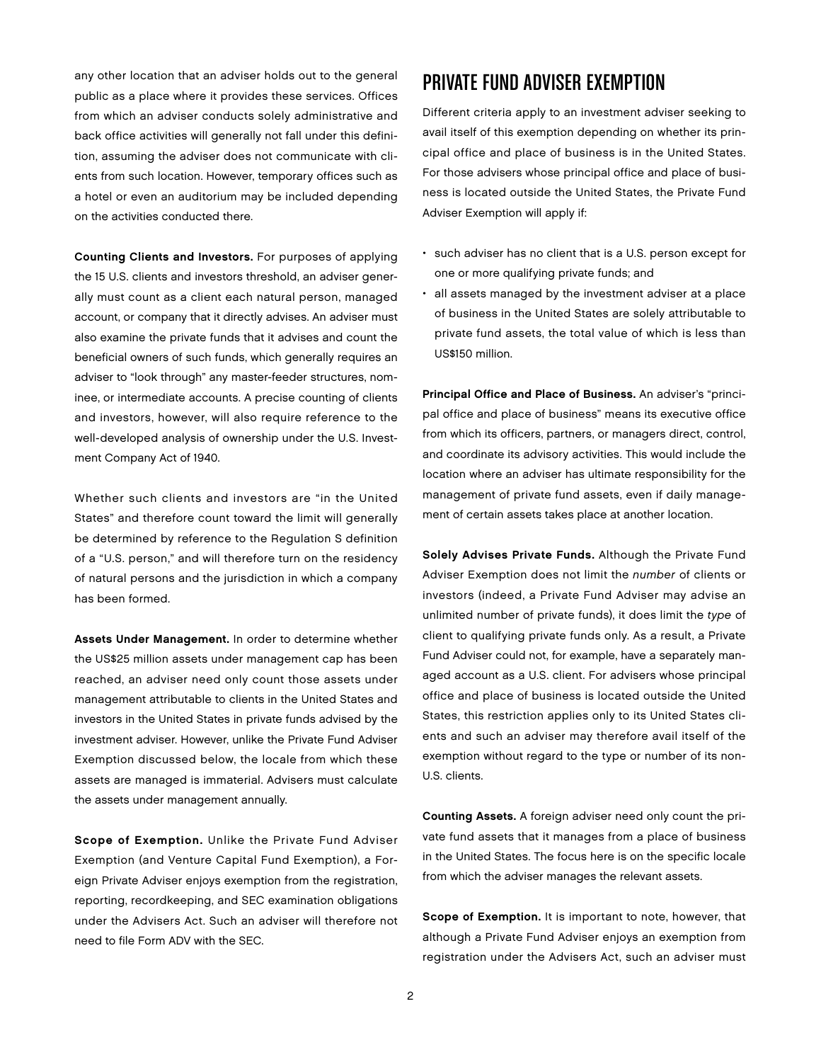any other location that an adviser holds out to the general public as a place where it provides these services. Offices from which an adviser conducts solely administrative and back office activities will generally not fall under this definition, assuming the adviser does not communicate with clients from such location. However, temporary offices such as a hotel or even an auditorium may be included depending on the activities conducted there.

Counting Clients and Investors. For purposes of applying the 15 U.S. clients and investors threshold, an adviser generally must count as a client each natural person, managed account, or company that it directly advises. An adviser must also examine the private funds that it advises and count the beneficial owners of such funds, which generally requires an adviser to "look through" any master-feeder structures, nominee, or intermediate accounts. A precise counting of clients and investors, however, will also require reference to the well-developed analysis of ownership under the U.S. Investment Company Act of 1940.

Whether such clients and investors are "in the United States" and therefore count toward the limit will generally be determined by reference to the Regulation S definition of a "U.S. person," and will therefore turn on the residency of natural persons and the jurisdiction in which a company has been formed.

Assets Under Management. In order to determine whether the US\$25 million assets under management cap has been reached, an adviser need only count those assets under management attributable to clients in the United States and investors in the United States in private funds advised by the investment adviser. However, unlike the Private Fund Adviser Exemption discussed below, the locale from which these assets are managed is immaterial. Advisers must calculate the assets under management annually.

Scope of Exemption. Unlike the Private Fund Adviser Exemption (and Venture Capital Fund Exemption), a Foreign Private Adviser enjoys exemption from the registration, reporting, recordkeeping, and SEC examination obligations under the Advisers Act. Such an adviser will therefore not need to file Form ADV with the SEC.

### Private Fund Adviser Exemption

Different criteria apply to an investment adviser seeking to avail itself of this exemption depending on whether its principal office and place of business is in the United States. For those advisers whose principal office and place of business is located outside the United States, the Private Fund Adviser Exemption will apply if:

- such adviser has no client that is a U.S. person except for one or more qualifying private funds; and
- all assets managed by the investment adviser at a place of business in the United States are solely attributable to private fund assets, the total value of which is less than US\$150 million.

Principal Office and Place of Business. An adviser's "principal office and place of business" means its executive office from which its officers, partners, or managers direct, control, and coordinate its advisory activities. This would include the location where an adviser has ultimate responsibility for the management of private fund assets, even if daily management of certain assets takes place at another location.

Solely Advises Private Funds. Although the Private Fund Adviser Exemption does not limit the number of clients or investors (indeed, a Private Fund Adviser may advise an unlimited number of private funds), it does limit the type of client to qualifying private funds only. As a result, a Private Fund Adviser could not, for example, have a separately managed account as a U.S. client. For advisers whose principal office and place of business is located outside the United States, this restriction applies only to its United States clients and such an adviser may therefore avail itself of the exemption without regard to the type or number of its non-U.S. clients.

Counting Assets. A foreign adviser need only count the private fund assets that it manages from a place of business in the United States. The focus here is on the specific locale from which the adviser manages the relevant assets.

Scope of Exemption. It is important to note, however, that although a Private Fund Adviser enjoys an exemption from registration under the Advisers Act, such an adviser must